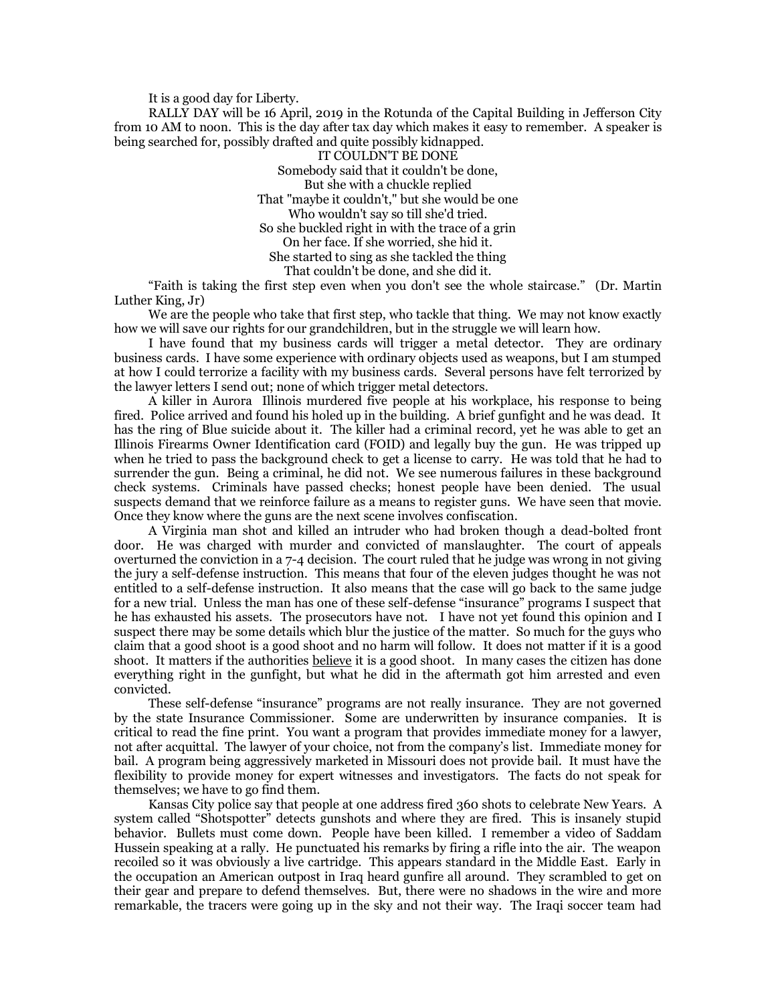It is a good day for Liberty.

RALLY DAY will be 16 April, 2019 in the Rotunda of the Capital Building in Jefferson City from 10 AM to noon. This is the day after tax day which makes it easy to remember. A speaker is being searched for, possibly drafted and quite possibly kidnapped.

IT COULDN'T BE DONE Somebody said that it couldn't be done, But she with a chuckle replied That "maybe it couldn't," but she would be one Who wouldn't say so till she'd tried. So she buckled right in with the trace of a grin On her face. If she worried, she hid it. She started to sing as she tackled the thing That couldn't be done, and she did it.

"Faith is taking the first step even when you don't see the whole staircase." (Dr. Martin Luther King, Jr)

We are the people who take that first step, who tackle that thing. We may not know exactly how we will save our rights for our grandchildren, but in the struggle we will learn how.

I have found that my business cards will trigger a metal detector. They are ordinary business cards. I have some experience with ordinary objects used as weapons, but I am stumped at how I could terrorize a facility with my business cards. Several persons have felt terrorized by the lawyer letters I send out; none of which trigger metal detectors.

A killer in Aurora Illinois murdered five people at his workplace, his response to being fired. Police arrived and found his holed up in the building. A brief gunfight and he was dead. It has the ring of Blue suicide about it. The killer had a criminal record, yet he was able to get an Illinois Firearms Owner Identification card (FOID) and legally buy the gun. He was tripped up when he tried to pass the background check to get a license to carry. He was told that he had to surrender the gun. Being a criminal, he did not. We see numerous failures in these background check systems. Criminals have passed checks; honest people have been denied. The usual suspects demand that we reinforce failure as a means to register guns. We have seen that movie. Once they know where the guns are the next scene involves confiscation.

A Virginia man shot and killed an intruder who had broken though a dead-bolted front door. He was charged with murder and convicted of manslaughter. The court of appeals overturned the conviction in a 7-4 decision. The court ruled that he judge was wrong in not giving the jury a self-defense instruction. This means that four of the eleven judges thought he was not entitled to a self-defense instruction. It also means that the case will go back to the same judge for a new trial. Unless the man has one of these self-defense "insurance" programs I suspect that he has exhausted his assets. The prosecutors have not. I have not yet found this opinion and I suspect there may be some details which blur the justice of the matter. So much for the guys who claim that a good shoot is a good shoot and no harm will follow. It does not matter if it is a good shoot. It matters if the authorities believe it is a good shoot. In many cases the citizen has done everything right in the gunfight, but what he did in the aftermath got him arrested and even convicted.

These self-defense "insurance" programs are not really insurance. They are not governed by the state Insurance Commissioner. Some are underwritten by insurance companies. It is critical to read the fine print. You want a program that provides immediate money for a lawyer, not after acquittal. The lawyer of your choice, not from the company's list. Immediate money for bail. A program being aggressively marketed in Missouri does not provide bail. It must have the flexibility to provide money for expert witnesses and investigators. The facts do not speak for themselves; we have to go find them.

Kansas City police say that people at one address fired 360 shots to celebrate New Years. A system called "Shotspotter" detects gunshots and where they are fired. This is insanely stupid behavior. Bullets must come down. People have been killed. I remember a video of Saddam Hussein speaking at a rally. He punctuated his remarks by firing a rifle into the air. The weapon recoiled so it was obviously a live cartridge. This appears standard in the Middle East. Early in the occupation an American outpost in Iraq heard gunfire all around. They scrambled to get on their gear and prepare to defend themselves. But, there were no shadows in the wire and more remarkable, the tracers were going up in the sky and not their way. The Iraqi soccer team had